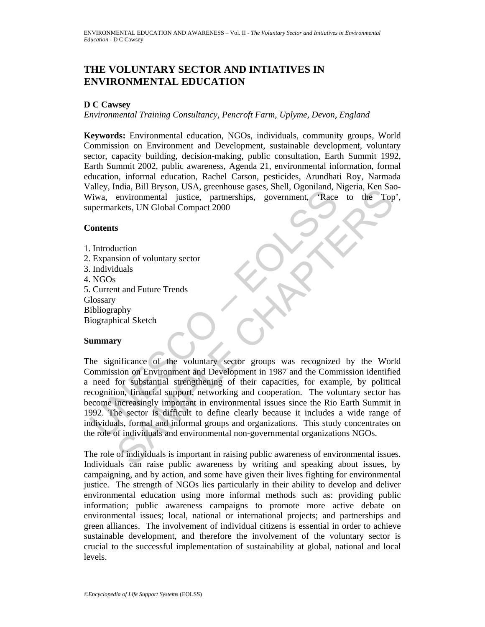# **THE VOLUNTARY SECTOR AND INTIATIVES IN ENVIRONMENTAL EDUCATION**

### **D C Cawsey**

*Environmental Training Consultancy, Pencroft Farm, Uplyme, Devon, England* 

**Keywords:** Environmental education, NGOs, individuals, community groups, World Commission on Environment and Development, sustainable development, voluntary sector, capacity building, decision-making, public consultation, Earth Summit 1992, Earth Summit 2002, public awareness, Agenda 21, environmental information, formal education, informal education, Rachel Carson, pesticides, Arundhati Roy, Narmada Valley, India, Bill Bryson, USA, greenhouse gases, Shell, Ogoniland, Nigeria, Ken Sao-Wiwa, environmental justice, partnerships, government, 'Race to the Top', supermarkets, UN Global Compact 2000

# **Contents**

- 1. Introduction
- 2. Expansion of voluntary sector
- 3. Individuals
- 4. NGOs
- 5. Current and Future Trends
- **Glossary**
- Bibliography Biographical Sketch

# **Summary**

mery, indee, the Misson, Cost, gectations, contents, and interesting and interesting and interesting and the permarkets, UN Global Compact 2000<br>
Contents<br>
1. Introduction<br>
1. Introduction<br>
1. Introduction<br>
1. Introduction<br> mula, bin bityson, O.SA, greenlouse gases, sinel, Ognimalia, Sate to the Top<br>environmental justice, partnerships, government, Race to the Top<br>elects, UN Global Compact 2000<br>s<br>s<br>sion of voluntary scotor<br>that as<br>that and Fut The significance of the voluntary sector groups was recognized by the World Commission on Environment and Development in 1987 and the Commission identified a need for substantial strengthening of their capacities, for example, by political recognition, financial support, networking and cooperation. The voluntary sector has become increasingly important in environmental issues since the Rio Earth Summit in 1992. The sector is difficult to define clearly because it includes a wide range of individuals, formal and informal groups and organizations. This study concentrates on the role of individuals and environmental non-governmental organizations NGOs.

The role of individuals is important in raising public awareness of environmental issues. Individuals can raise public awareness by writing and speaking about issues, by campaigning, and by action, and some have given their lives fighting for environmental justice. The strength of NGOs lies particularly in their ability to develop and deliver environmental education using more informal methods such as: providing public information; public awareness campaigns to promote more active debate on environmental issues; local, national or international projects; and partnerships and green alliances. The involvement of individual citizens is essential in order to achieve sustainable development, and therefore the involvement of the voluntary sector is crucial to the successful implementation of sustainability at global, national and local levels.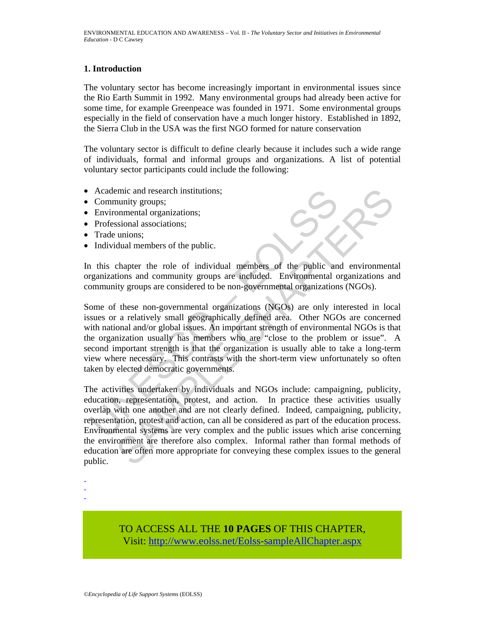## **1. Introduction**

The voluntary sector has become increasingly important in environmental issues since the Rio Earth Summit in 1992. Many environmental groups had already been active for some time, for example Greenpeace was founded in 1971. Some environmental groups especially in the field of conservation have a much longer history. Established in 1892, the Sierra Club in the USA was the first NGO formed for nature conservation

The voluntary sector is difficult to define clearly because it includes such a wide range of individuals, formal and informal groups and organizations. A list of potential voluntary sector participants could include the following:

- Academic and research institutions;
- Community groups;
- Environmental organizations;
- Professional associations;
- Trade unions:
- Individual members of the public.

In this chapter the role of individual members of the public and environmental organizations and community groups are included. Environmental organizations and community groups are considered to be non-governmental organizations (NGOs).

Academic and research institutions;<br>
Community groups;<br>
Environmental organizations;<br>
Professional associations;<br>
Trade unions;<br>
Trade unions;<br>
Trade unions;<br>
Trade unions;<br>
Individual members of the public.<br>
1 this chapte Some of these non-governmental organizations (NGOs) are only interested in local issues or a relatively small geographically defined area. Other NGOs are concerned with national and/or global issues. An important strength of environmental NGOs is that the organization usually has members who are "close to the problem or issue". A second important strength is that the organization is usually able to take a long-term view where necessary. This contrasts with the short-term view unfortunately so often taken by elected democratic governments.

minity around research institutions;<br>
sommental organizations;<br>
sional associations;<br>
sional associations;<br>
unions;<br>
unions;<br>
unions and community groups are included. Environmental organizations and<br>
the public chapter th The activities undertaken by individuals and NGOs include: campaigning, publicity, education, representation, protest, and action. In practice these activities usually overlap with one another and are not clearly defined. Indeed, campaigning, publicity, representation, protest and action, can all be considered as part of the education process. Environmental systems are very complex and the public issues which arise concerning the environment are therefore also complex. Informal rather than formal methods of education are often more appropriate for conveying these complex issues to the general public.

- -

-

TO ACCESS ALL THE **10 PAGES** OF THIS CHAPTER, Visit[: http://www.eolss.net/Eolss-sampleAllChapter.aspx](https://www.eolss.net/ebooklib/sc_cart.aspx?File=E4-16-07)